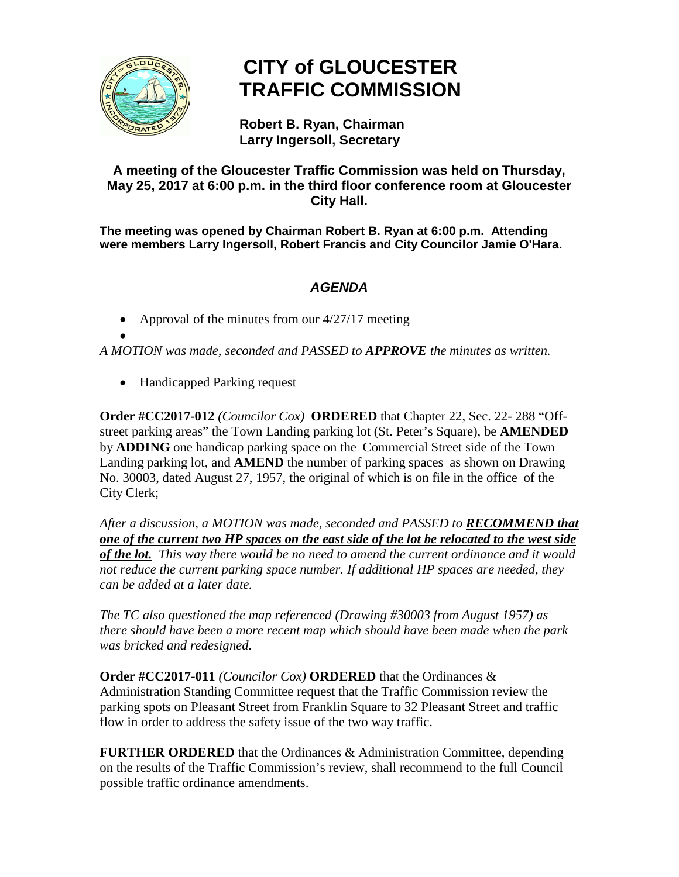

## **CITY of GLOUCESTER TRAFFIC COMMISSION**

**Robert B. Ryan, Chairman Larry Ingersoll, Secretary**

## **A meeting of the Gloucester Traffic Commission was held on Thursday, May 25, 2017 at 6:00 p.m. in the third floor conference room at Gloucester City Hall.**

**The meeting was opened by Chairman Robert B. Ryan at 6:00 p.m. Attending were members Larry Ingersoll, Robert Francis and City Councilor Jamie O'Hara.**

## *AGENDA*

• Approval of the minutes from our 4/27/17 meeting

• *A MOTION was made, seconded and PASSED to APPROVE the minutes as written.*

• Handicapped Parking request

**Order #CC2017-012** *(Councilor Cox)* **ORDERED** that Chapter 22, Sec. 22- 288 "Offstreet parking areas" the Town Landing parking lot (St. Peter's Square), be **AMENDED** by **ADDING** one handicap parking space on the Commercial Street side of the Town Landing parking lot, and **AMEND** the number of parking spaces as shown on Drawing No. 30003, dated August 27, 1957, the original of which is on file in the office of the City Clerk;

*After a discussion, a MOTION was made, seconded and PASSED to RECOMMEND that one of the current two HP spaces on the east side of the lot be relocated to the west side of the lot. This way there would be no need to amend the current ordinance and it would not reduce the current parking space number. If additional HP spaces are needed, they can be added at a later date.*

*The TC also questioned the map referenced (Drawing #30003 from August 1957) as there should have been a more recent map which should have been made when the park was bricked and redesigned.*

**Order #CC2017-011** *(Councilor Cox)* **ORDERED** that the Ordinances & Administration Standing Committee request that the Traffic Commission review the parking spots on Pleasant Street from Franklin Square to 32 Pleasant Street and traffic flow in order to address the safety issue of the two way traffic.

**FURTHER ORDERED** that the Ordinances & Administration Committee, depending on the results of the Traffic Commission's review, shall recommend to the full Council possible traffic ordinance amendments.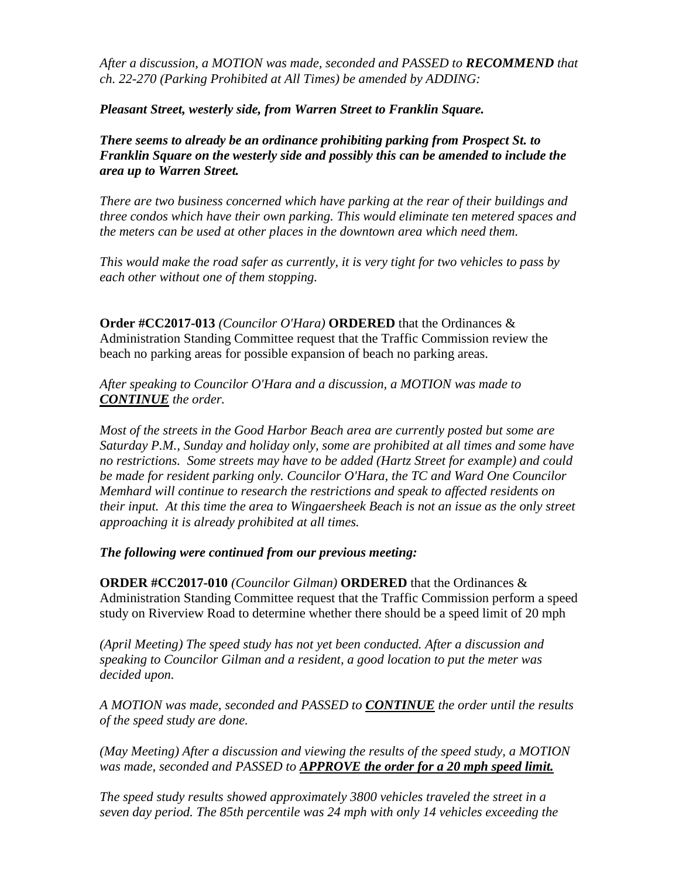*After a discussion, a MOTION was made, seconded and PASSED to RECOMMEND that ch. 22-270 (Parking Prohibited at All Times) be amended by ADDING:* 

*Pleasant Street, westerly side, from Warren Street to Franklin Square.*

*There seems to already be an ordinance prohibiting parking from Prospect St. to Franklin Square on the westerly side and possibly this can be amended to include the area up to Warren Street.*

*There are two business concerned which have parking at the rear of their buildings and three condos which have their own parking. This would eliminate ten metered spaces and the meters can be used at other places in the downtown area which need them.*

*This would make the road safer as currently, it is very tight for two vehicles to pass by each other without one of them stopping.* 

**Order #CC2017-013** *(Councilor O'Hara)* **ORDERED** that the Ordinances & Administration Standing Committee request that the Traffic Commission review the beach no parking areas for possible expansion of beach no parking areas.

*After speaking to Councilor O'Hara and a discussion, a MOTION was made to CONTINUE the order.*

*Most of the streets in the Good Harbor Beach area are currently posted but some are Saturday P.M., Sunday and holiday only, some are prohibited at all times and some have no restrictions. Some streets may have to be added (Hartz Street for example) and could be made for resident parking only. Councilor O'Hara, the TC and Ward One Councilor Memhard will continue to research the restrictions and speak to affected residents on their input. At this time the area to Wingaersheek Beach is not an issue as the only street approaching it is already prohibited at all times.* 

*The following were continued from our previous meeting:*

**ORDER #CC2017-010** *(Councilor Gilman)* **ORDERED** that the Ordinances & Administration Standing Committee request that the Traffic Commission perform a speed study on Riverview Road to determine whether there should be a speed limit of 20 mph

*(April Meeting) The speed study has not yet been conducted. After a discussion and speaking to Councilor Gilman and a resident, a good location to put the meter was decided upon.*

*A MOTION was made, seconded and PASSED to CONTINUE the order until the results of the speed study are done.*

*(May Meeting) After a discussion and viewing the results of the speed study, a MOTION was made, seconded and PASSED to APPROVE the order for a 20 mph speed limit.*

*The speed study results showed approximately 3800 vehicles traveled the street in a seven day period. The 85th percentile was 24 mph with only 14 vehicles exceeding the*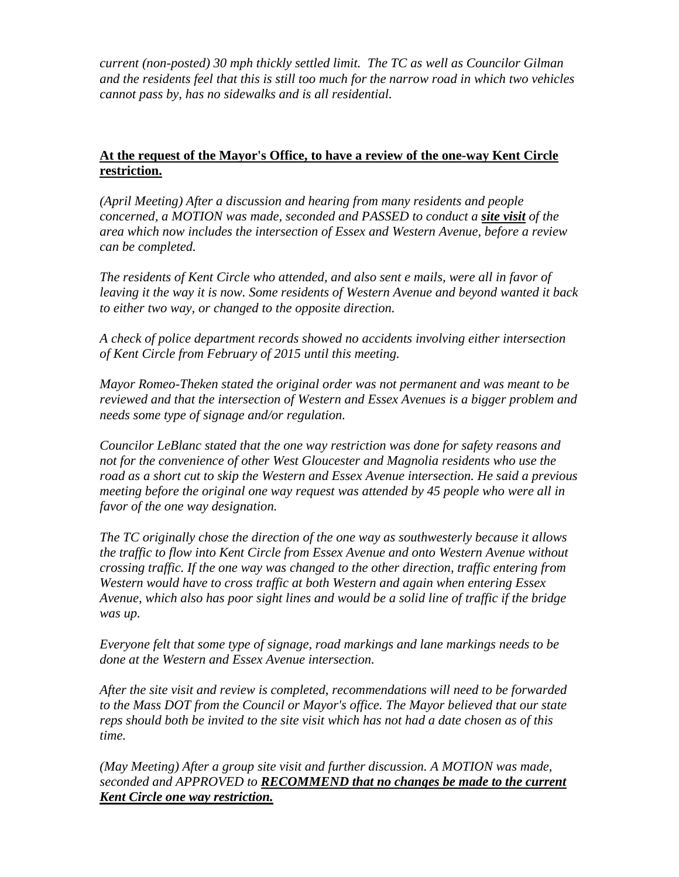*current (non-posted) 30 mph thickly settled limit. The TC as well as Councilor Gilman and the residents feel that this is still too much for the narrow road in which two vehicles cannot pass by, has no sidewalks and is all residential.*

## **At the request of the Mayor's Office, to have a review of the one-way Kent Circle restriction.**

*(April Meeting) After a discussion and hearing from many residents and people concerned, a MOTION was made, seconded and PASSED to conduct a site visit of the area which now includes the intersection of Essex and Western Avenue, before a review can be completed.*

*The residents of Kent Circle who attended, and also sent e mails, were all in favor of leaving it the way it is now. Some residents of Western Avenue and beyond wanted it back to either two way, or changed to the opposite direction.*

*A check of police department records showed no accidents involving either intersection of Kent Circle from February of 2015 until this meeting.*

*Mayor Romeo-Theken stated the original order was not permanent and was meant to be reviewed and that the intersection of Western and Essex Avenues is a bigger problem and needs some type of signage and/or regulation.*

*Councilor LeBlanc stated that the one way restriction was done for safety reasons and not for the convenience of other West Gloucester and Magnolia residents who use the road as a short cut to skip the Western and Essex Avenue intersection. He said a previous meeting before the original one way request was attended by 45 people who were all in favor of the one way designation.*

*The TC originally chose the direction of the one way as southwesterly because it allows the traffic to flow into Kent Circle from Essex Avenue and onto Western Avenue without crossing traffic. If the one way was changed to the other direction, traffic entering from Western would have to cross traffic at both Western and again when entering Essex Avenue, which also has poor sight lines and would be a solid line of traffic if the bridge was up.*

*Everyone felt that some type of signage, road markings and lane markings needs to be done at the Western and Essex Avenue intersection.*

*After the site visit and review is completed, recommendations will need to be forwarded to the Mass DOT from the Council or Mayor's office. The Mayor believed that our state reps should both be invited to the site visit which has not had a date chosen as of this time.*

*(May Meeting) After a group site visit and further discussion. A MOTION was made, seconded and APPROVED to RECOMMEND that no changes be made to the current Kent Circle one way restriction.*